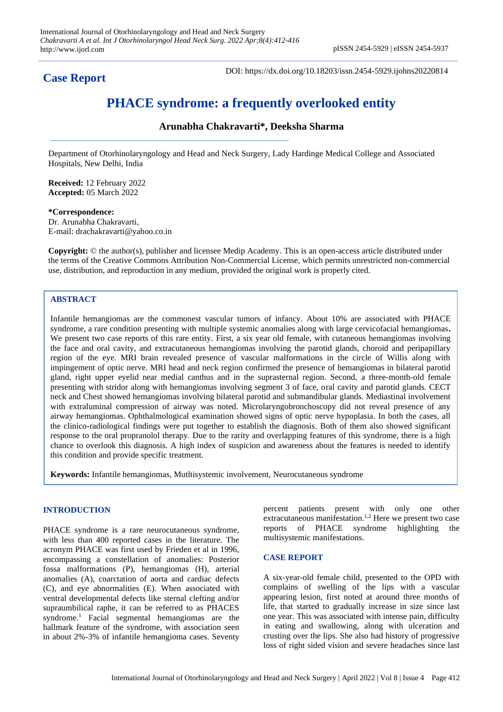**Case Report**

DOI: https://dx.doi.org/10.18203/issn.2454-5929.ijohns20220814

# **PHACE syndrome: a frequently overlooked entity**

## **Arunabha Chakravarti\*, Deeksha Sharma**

Department of Otorhinolaryngology and Head and Neck Surgery, Lady Hardinge Medical College and Associated Hospitals, New Delhi, India

**Received:** 12 February 2022 **Accepted:** 05 March 2022

**\*Correspondence:** Dr. Arunabha Chakravarti, E-mail: drachakravarti@yahoo.co.in

**Copyright:** © the author(s), publisher and licensee Medip Academy. This is an open-access article distributed under the terms of the Creative Commons Attribution Non-Commercial License, which permits unrestricted non-commercial use, distribution, and reproduction in any medium, provided the original work is properly cited.

## **ABSTRACT**

Infantile hemangiomas are the commonest vascular tumors of infancy. About 10% are associated with PHACE syndrome, a rare condition presenting with multiple systemic anomalies along with large cervicofacial hemangiomas**.** We present two case reports of this rare entity. First, a six year old female, with cutaneous hemangiomas involving the face and oral cavity, and extracutaneous hemangiomas involving the parotid glands, choroid and peripapillary region of the eye. MRI brain revealed presence of vascular malformations in the circle of Willis along with impingement of optic nerve. MRI head and neck region confirmed the presence of hemangiomas in bilateral parotid gland, right upper eyelid near medial canthus and in the suprasternal region. Second, a three-month-old female presenting with stridor along with hemangiomas involving segment 3 of face, oral cavity and parotid glands. CECT neck and Chest showed hemangiomas involving bilateral parotid and submandibular glands. Mediastinal involvement with extraluminal compression of airway was noted. Microlaryngobronchoscopy did not reveal presence of any airway hemangiomas. Ophthalmological examination showed signs of optic nerve hypoplasia. In both the cases, all the clinico-radiological findings were put together to establish the diagnosis. Both of them also showed significant response to the oral propranolol therapy. Due to the rarity and overlapping features of this syndrome, there is a high chance to overlook this diagnosis. A high index of suspicion and awareness about the features is needed to identify this condition and provide specific treatment.

**Keywords:** Infantile hemangiomas, Mutltisystemic involvement, Neurocutaneous syndrome

### **INTRODUCTION**

PHACE syndrome is a rare neurocutaneous syndrome, with less than 400 reported cases in the literature. The acronym PHACE was first used by Frieden et al in 1996, encompassing a constellation of anomalies: Posterior fossa malformations (P), hemangiomas (H), arterial anomalies (A), coarctation of aorta and cardiac defects (C), and eye abnormalities (E). When associated with ventral developmental defects like sternal clefting and/or supraumbilical raphe, it can be referred to as PHACES syndrome.<sup>1</sup> Facial segmental hemangiomas are the hallmark feature of the syndrome, with association seen in about 2%-3% of infantile hemangioma cases. Seventy percent patients present with only one other extracutaneous manifestation.<sup>1,2</sup> Here we present two case reports of PHACE syndrome highlighting the multisystemic manifestations.

### **CASE REPORT**

A six-year-old female child, presented to the OPD with complains of swelling of the lips with a vascular appearing lesion, first noted at around three months of life, that started to gradually increase in size since last one year. This was associated with intense pain, difficulty in eating and swallowing, along with ulceration and crusting over the lips. She also had history of progressive loss of right sided vision and severe headaches since last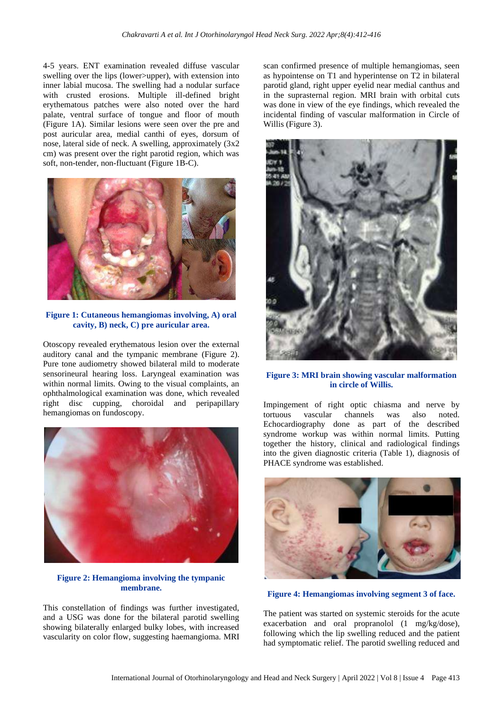4-5 years. ENT examination revealed diffuse vascular swelling over the lips (lower>upper), with extension into inner labial mucosa. The swelling had a nodular surface with crusted erosions. Multiple ill-defined bright erythematous patches were also noted over the hard palate, ventral surface of tongue and floor of mouth (Figure 1A). Similar lesions were seen over the pre and post auricular area, medial canthi of eyes, dorsum of nose, lateral side of neck. A swelling, approximately (3x2 cm) was present over the right parotid region, which was soft, non-tender, non-fluctuant (Figure 1B-C).



**Figure 1: Cutaneous hemangiomas involving, A) oral cavity, B) neck, C) pre auricular area.**

Otoscopy revealed erythematous lesion over the external auditory canal and the tympanic membrane (Figure 2). Pure tone audiometry showed bilateral mild to moderate sensorineural hearing loss. Laryngeal examination was within normal limits. Owing to the visual complaints, an ophthalmological examination was done, which revealed right disc cupping, choroidal and peripapillary hemangiomas on fundoscopy.



**Figure 2: Hemangioma involving the tympanic membrane.**

This constellation of findings was further investigated, and a USG was done for the bilateral parotid swelling showing bilaterally enlarged bulky lobes, with increased vascularity on color flow, suggesting haemangioma. MRI scan confirmed presence of multiple hemangiomas, seen as hypointense on T1 and hyperintense on T2 in bilateral parotid gland, right upper eyelid near medial canthus and in the suprasternal region. MRI brain with orbital cuts was done in view of the eye findings, which revealed the incidental finding of vascular malformation in Circle of Willis (Figure 3).



**Figure 3: MRI brain showing vascular malformation in circle of Willis.**

Impingement of right optic chiasma and nerve by tortuous vascular channels was also noted. Echocardiography done as part of the described syndrome workup was within normal limits. Putting together the history, clinical and radiological findings into the given diagnostic criteria (Table 1), diagnosis of PHACE syndrome was established.



**Figure 4: Hemangiomas involving segment 3 of face.**

The patient was started on systemic steroids for the acute exacerbation and oral propranolol (1 mg/kg/dose), following which the lip swelling reduced and the patient had symptomatic relief. The parotid swelling reduced and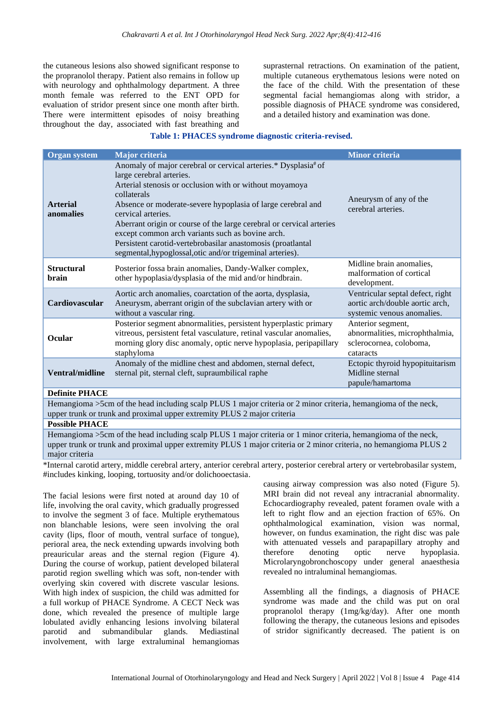the cutaneous lesions also showed significant response to the propranolol therapy. Patient also remains in follow up with neurology and ophthalmology department. A three month female was referred to the ENT OPD for evaluation of stridor present since one month after birth. There were intermittent episodes of noisy breathing throughout the day, associated with fast breathing and suprasternal retractions. On examination of the patient, multiple cutaneous erythematous lesions were noted on the face of the child. With the presentation of these segmental facial hemangiomas along with stridor, a possible diagnosis of PHACE syndrome was considered, and a detailed history and examination was done.

## **Table 1: PHACES syndrome diagnostic criteria-revised.**

| <b>Organ system</b>                                                                                                                                                                                                                 | <b>Major criteria</b>                                                                                                                                                                                                                                                                                                                                                                                                                                                                                             | <b>Minor criteria</b>                                                                             |
|-------------------------------------------------------------------------------------------------------------------------------------------------------------------------------------------------------------------------------------|-------------------------------------------------------------------------------------------------------------------------------------------------------------------------------------------------------------------------------------------------------------------------------------------------------------------------------------------------------------------------------------------------------------------------------------------------------------------------------------------------------------------|---------------------------------------------------------------------------------------------------|
| <b>Arterial</b><br>anomalies                                                                                                                                                                                                        | Anomaly of major cerebral or cervical arteries.* Dysplasia# of<br>large cerebral arteries.<br>Arterial stenosis or occlusion with or without moyamoya<br>collaterals<br>Absence or moderate-severe hypoplasia of large cerebral and<br>cervical arteries.<br>Aberrant origin or course of the large cerebral or cervical arteries<br>except common arch variants such as bovine arch.<br>Persistent carotid-vertebrobasilar anastomosis (proatlantal<br>segmental, hypoglossal, otic and/or trigeminal arteries). | Aneurysm of any of the<br>cerebral arteries.                                                      |
| <b>Structural</b><br><b>brain</b>                                                                                                                                                                                                   | Posterior fossa brain anomalies, Dandy-Walker complex,<br>other hypoplasia/dysplasia of the mid and/or hindbrain.                                                                                                                                                                                                                                                                                                                                                                                                 | Midline brain anomalies,<br>malformation of cortical<br>development.                              |
| Cardiovascular                                                                                                                                                                                                                      | Aortic arch anomalies, coarctation of the aorta, dysplasia,<br>Aneurysm, aberrant origin of the subclavian artery with or<br>without a vascular ring.                                                                                                                                                                                                                                                                                                                                                             | Ventricular septal defect, right<br>aortic arch/double aortic arch,<br>systemic venous anomalies. |
| Ocular                                                                                                                                                                                                                              | Posterior segment abnormalities, persistent hyperplastic primary<br>vitreous, persistent fetal vasculature, retinal vascular anomalies,<br>morning glory disc anomaly, optic nerve hypoplasia, peripapillary<br>staphyloma                                                                                                                                                                                                                                                                                        | Anterior segment,<br>abnormalities, microphthalmia,<br>sclerocornea, coloboma,<br>cataracts       |
| <b>Ventral/midline</b>                                                                                                                                                                                                              | Anomaly of the midline chest and abdomen, sternal defect,<br>sternal pit, sternal cleft, supraumbilical raphe                                                                                                                                                                                                                                                                                                                                                                                                     | Ectopic thyroid hypopituitarism<br>Midline sternal<br>papule/hamartoma                            |
| <b>Definite PHACE</b>                                                                                                                                                                                                               |                                                                                                                                                                                                                                                                                                                                                                                                                                                                                                                   |                                                                                                   |
| Hemangioma >5cm of the head including scalp PLUS 1 major criteria or 2 minor criteria, hemangioma of the neck,<br>upper trunk or trunk and proximal upper extremity PLUS 2 major criteria                                           |                                                                                                                                                                                                                                                                                                                                                                                                                                                                                                                   |                                                                                                   |
| <b>Possible PHACE</b>                                                                                                                                                                                                               |                                                                                                                                                                                                                                                                                                                                                                                                                                                                                                                   |                                                                                                   |
| Hemangioma >5cm of the head including scalp PLUS 1 major criteria or 1 minor criteria, hemangioma of the neck,<br>upper trunk or trunk and proximal upper extremity PLUS 1 major criteria or 2 minor criteria, no hemangioma PLUS 2 |                                                                                                                                                                                                                                                                                                                                                                                                                                                                                                                   |                                                                                                   |

major criteria

\*Internal carotid artery, middle cerebral artery, anterior cerebral artery, posterior cerebral artery or vertebrobasilar system, #includes kinking, looping, tortuosity and/or dolichooectasia.

The facial lesions were first noted at around day 10 of life, involving the oral cavity, which gradually progressed to involve the segment 3 of face. Multiple erythematous non blanchable lesions, were seen involving the oral cavity (lips, floor of mouth, ventral surface of tongue), perioral area, the neck extending upwards involving both preauricular areas and the sternal region (Figure 4). During the course of workup, patient developed bilateral parotid region swelling which was soft, non-tender with overlying skin covered with discrete vascular lesions. With high index of suspicion, the child was admitted for a full workup of PHACE Syndrome. A CECT Neck was done, which revealed the presence of multiple large lobulated avidly enhancing lesions involving bilateral parotid and submandibular glands. Mediastinal involvement, with large extraluminal hemangiomas

causing airway compression was also noted (Figure 5). MRI brain did not reveal any intracranial abnormality. Echocardiography revealed, patent foramen ovale with a left to right flow and an ejection fraction of 65%. On ophthalmological examination, vision was normal, however, on fundus examination, the right disc was pale with attenuated vessels and parapapillary atrophy and therefore denoting optic nerve hypoplasia. Microlaryngobronchoscopy under general anaesthesia revealed no intraluminal hemangiomas.

Assembling all the findings, a diagnosis of PHACE syndrome was made and the child was put on oral propranolol therapy (1mg/kg/day). After one month following the therapy, the cutaneous lesions and episodes of stridor significantly decreased. The patient is on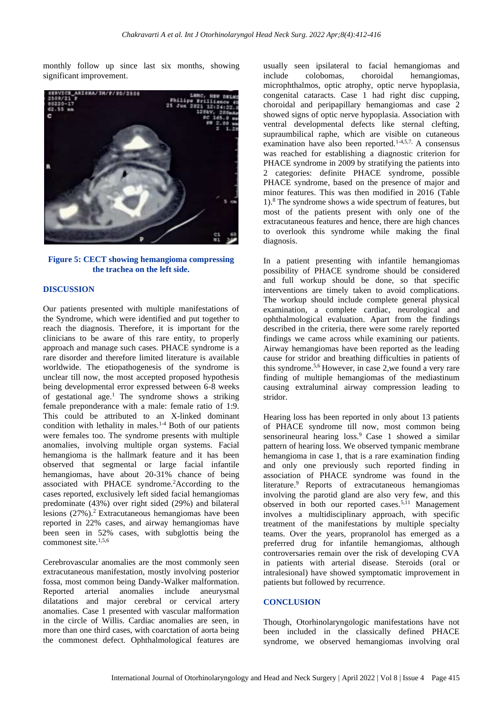monthly follow up since last six months, showing significant improvement.



**Figure 5: CECT showing hemangioma compressing the trachea on the left side.**

#### **DISCUSSION**

Our patients presented with multiple manifestations of the Syndrome, which were identified and put together to reach the diagnosis. Therefore, it is important for the clinicians to be aware of this rare entity, to properly approach and manage such cases. PHACE syndrome is a rare disorder and therefore limited literature is available worldwide. The etiopathogenesis of the syndrome is unclear till now, the most accepted proposed hypothesis being developmental error expressed between 6-8 weeks of gestational age.<sup>1</sup> The syndrome shows a striking female preponderance with a male: female ratio of 1:9. This could be attributed to an X-linked dominant condition with lethality in males.<sup>1-4</sup> Both of our patients were females too. The syndrome presents with multiple anomalies, involving multiple organ systems. Facial hemangioma is the hallmark feature and it has been observed that segmental or large facial infantile hemangiomas, have about 20-31% chance of being associated with PHACE syndrome.<sup>2</sup>According to the cases reported, exclusively left sided facial hemangiomas predominate (43%) over right sided (29%) and bilateral lesions (27%).<sup>2</sup> Extracutaneous hemangiomas have been reported in 22% cases, and airway hemangiomas have been seen in 52% cases, with subglottis being the commonest site.<sup>1,5,6</sup>

Cerebrovascular anomalies are the most commonly seen extracutaneous manifestation, mostly involving posterior fossa, most common being Dandy-Walker malformation. Reported arterial anomalies include aneurysmal dilatations and major cerebral or cervical artery anomalies. Case 1 presented with vascular malformation in the circle of Willis. Cardiac anomalies are seen, in more than one third cases, with coarctation of aorta being the commonest defect. Ophthalmological features are usually seen ipsilateral to facial hemangiomas and include colobomas, choroidal hemangiomas, microphthalmos, optic atrophy, optic nerve hypoplasia, congenital cataracts. Case 1 had right disc cupping, choroidal and peripapillary hemangiomas and case 2 showed signs of optic nerve hypoplasia. Association with ventral developmental defects like sternal clefting, supraumbilical raphe, which are visible on cutaneous examination have also been reported.<sup>1-4,5,7,</sup> A consensus was reached for establishing a diagnostic criterion for PHACE syndrome in 2009 by stratifying the patients into 2 categories: definite PHACE syndrome, possible PHACE syndrome, based on the presence of major and minor features. This was then modified in 2016 (Table 1). <sup>8</sup> The syndrome shows a wide spectrum of features, but most of the patients present with only one of the extracutaneous features and hence, there are high chances to overlook this syndrome while making the final diagnosis.

In a patient presenting with infantile hemangiomas possibility of PHACE syndrome should be considered and full workup should be done, so that specific interventions are timely taken to avoid complications. The workup should include complete general physical examination, a complete cardiac, neurological and ophthalmological evaluation. Apart from the findings described in the criteria, there were some rarely reported findings we came across while examining our patients. Airway hemangiomas have been reported as the leading cause for stridor and breathing difficulties in patients of this syndrome.5,6 However, in case 2,we found a very rare finding of multiple hemangiomas of the mediastinum causing extraluminal airway compression leading to stridor.

Hearing loss has been reported in only about 13 patients of PHACE syndrome till now, most common being sensorineural hearing loss.<sup>9</sup> Case 1 showed a similar pattern of hearing loss. We observed tympanic membrane hemangioma in case 1, that is a rare examination finding and only one previously such reported finding in association of PHACE syndrome was found in the literature.<sup>9</sup> Reports of extracutaneous hemangiomas involving the parotid gland are also very few, and this observed in both our reported cases.<sup>5,11</sup> Management involves a multidisciplinary approach, with specific treatment of the manifestations by multiple specialty teams. Over the years, propranolol has emerged as a preferred drug for infantile hemangiomas, although controversaries remain over the risk of developing CVA in patients with arterial disease. Steroids (oral or intralesional) have showed symptomatic improvement in patients but followed by recurrence.

#### **CONCLUSION**

Though, Otorhinolaryngologic manifestations have not been included in the classically defined PHACE syndrome, we observed hemangiomas involving oral